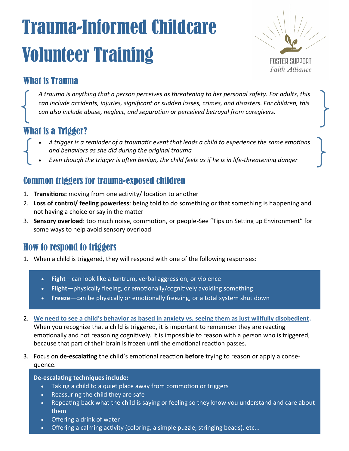# Trauma-Informed Childcare Volunteer Training



# What is Trauma

*A trauma is anything that a person perceives as threatening to her personal safety. For adults, this can include accidents, injuries, significant or sudden losses, crimes, and disasters. For children, this can also include abuse, neglect, and separation or perceived betrayal from caregivers.*

# What is a Trigger?

- *A trigger is a reminder of a traumatic event that leads a child to experience the same emotions and behaviors as she did during the original trauma*
- *Even though the trigger is often benign, the child feels as if he is in life-threatening danger*

#### Common triggers for trauma-exposed children

- 1. **Transitions:** moving from one activity/ location to another
- 2. **Loss of control/ feeling powerless**: being told to do something or that something is happening and not having a choice or say in the matter
- 3. **Sensory overload**: too much noise, commotion, or people-See "Tips on Setting up Environment" for some ways to help avoid sensory overload

#### How to respond to triggers

- 1. When a child is triggered, they will respond with one of the following responses:
	- **Fight**—can look like a tantrum, verbal aggression, or violence
	- **Flight**—physically fleeing, or emotionally/cognitively avoiding something
	- **Freeze**—can be physically or emotionally freezing, or a total system shut down
- 2. **We need to see a child's behavior as based in anxiety vs. seeing them as just willfully disobedient.**  When you recognize that a child is triggered, it is important to remember they are reacting emotionally and not reasoning cognitively. It is impossible to reason with a person who is triggered, because that part of their brain is frozen until the emotional reaction passes.
- 3. Focus on **de-escalating** the child's emotional reaction **before** trying to reason or apply a consequence.

#### **De-escalating techniques include:**

- Taking a child to a quiet place away from commotion or triggers
- Reassuring the child they are safe
- Repeating back what the child is saying or feeling so they know you understand and care about them
- Offering a drink of water
- Offering a calming activity (coloring, a simple puzzle, stringing beads), etc...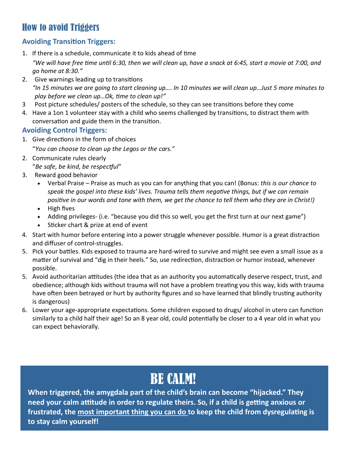## How to avoid Triggers

#### **Avoiding Transition Triggers:**

1. If there is a schedule, communicate it to kids ahead of time

*"We will have free time until 6:30, then we will clean up, have a snack at 6:45, start a movie at 7:00, and go home at 8:30."*

- 2. Give warnings leading up to transitions *"In 15 minutes we are going to start cleaning up…. In 10 minutes we will clean up…Just 5 more minutes to play before we clean up…Ok, time to clean up!"*
- 3 Post picture schedules/ posters of the schedule, so they can see transitions before they come
- 4. Have a 1on 1 volunteer stay with a child who seems challenged by transitions, to distract them with conversation and guide them in the transition.

#### **Avoiding Control Triggers:**

- 1. Give directions in the form of choices "*You can choose to clean up the Legos or the cars."*
- 2. Communicate rules clearly "*Be safe, be kind, be respectful*"
- 3. Reward good behavior
	- Verbal Praise Praise as much as you can for anything that you can! (Bonus: *this is our chance to speak the gospel into these kids' lives. Trauma tells them negative things, but if we can remain positive in our words and tone with them, we get the chance to tell them who they are in Christ!)*
	- High fives
	- Adding privileges- (i.e. "because you did this so well, you get the first turn at our next game")
	- Sticker chart & prize at end of event
- 4. Start with humor before entering into a power struggle whenever possible. Humor is a great distraction and diffuser of control-struggles.
- 5. Pick your battles. Kids exposed to trauma are hard-wired to survive and might see even a small issue as a matter of survival and "dig in their heels." So, use redirection, distraction or humor instead, whenever possible.
- 5. Avoid authoritarian attitudes (the idea that as an authority you automatically deserve respect, trust, and obedience; although kids without trauma will not have a problem treating you this way, kids with trauma have often been betrayed or hurt by authority figures and so have learned that blindly trusting authority is dangerous)
- 6. Lower your age-appropriate expectations. Some children exposed to drugs/ alcohol in utero can function similarly to a child half their age! So an 8 year old, could potentially be closer to a 4 year old in what you can expect behaviorally.

# BE CALM!

**When triggered, the amygdala part of the child's brain can become "hijacked." They need your calm attitude in order to regulate theirs. So, if a child is getting anxious or frustrated, the most important thing you can do to keep the child from dysregulating is to stay calm yourself!**